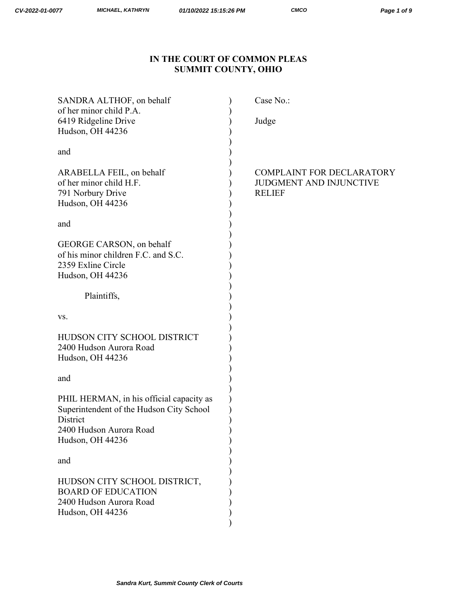# **IN THE COURT OF COMMON PLEAS SUMMIT COUNTY, OHIO**

| SANDRA ALTHOF, on behalf<br>of her minor child P.A.                                                                                             | Case No.:                                                                           |
|-------------------------------------------------------------------------------------------------------------------------------------------------|-------------------------------------------------------------------------------------|
| 6419 Ridgeline Drive<br>Hudson, OH 44236                                                                                                        | Judge                                                                               |
| and                                                                                                                                             |                                                                                     |
| ARABELLA FEIL, on behalf<br>of her minor child H.F.<br>791 Norbury Drive<br>Hudson, OH 44236                                                    | <b>COMPLAINT FOR DECLARATORY</b><br><b>JUDGMENT AND INJUNCTIVE</b><br><b>RELIEF</b> |
| and                                                                                                                                             |                                                                                     |
| GEORGE CARSON, on behalf<br>of his minor children F.C. and S.C.<br>2359 Exline Circle<br>Hudson, OH 44236                                       |                                                                                     |
| Plaintiffs,                                                                                                                                     |                                                                                     |
| VS.                                                                                                                                             |                                                                                     |
| HUDSON CITY SCHOOL DISTRICT<br>2400 Hudson Aurora Road<br>Hudson, OH 44236                                                                      |                                                                                     |
| and                                                                                                                                             |                                                                                     |
| PHIL HERMAN, in his official capacity as<br>Superintendent of the Hudson City School<br>District<br>2400 Hudson Aurora Road<br>Hudson, OH 44236 |                                                                                     |
| and                                                                                                                                             |                                                                                     |
| HUDSON CITY SCHOOL DISTRICT,<br><b>BOARD OF EDUCATION</b><br>2400 Hudson Aurora Road<br>Hudson, OH 44236                                        |                                                                                     |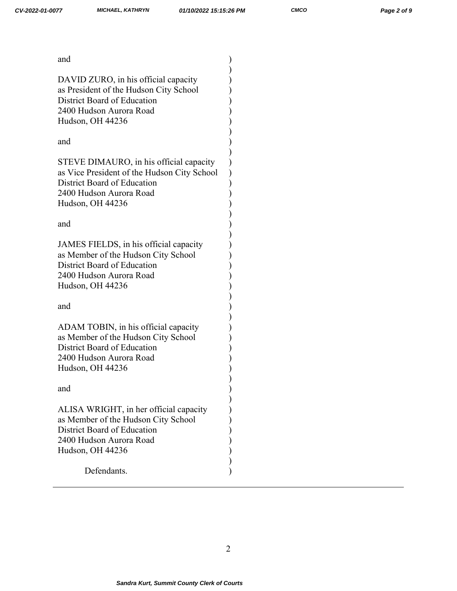| and                                                                                                                                                                  |  |
|----------------------------------------------------------------------------------------------------------------------------------------------------------------------|--|
| DAVID ZURO, in his official capacity<br>as President of the Hudson City School<br>District Board of Education<br>2400 Hudson Aurora Road<br>Hudson, OH 44236         |  |
| and                                                                                                                                                                  |  |
| STEVE DIMAURO, in his official capacity<br>as Vice President of the Hudson City School<br>District Board of Education<br>2400 Hudson Aurora Road<br>Hudson, OH 44236 |  |
| and                                                                                                                                                                  |  |
| JAMES FIELDS, in his official capacity<br>as Member of the Hudson City School<br>District Board of Education<br>2400 Hudson Aurora Road<br>Hudson, OH 44236          |  |
| and                                                                                                                                                                  |  |
| ADAM TOBIN, in his official capacity<br>as Member of the Hudson City School<br>District Board of Education<br>2400 Hudson Aurora Road<br>Hudson, OH 44236            |  |
| and                                                                                                                                                                  |  |
| ALISA WRIGHT, in her official capacity<br>as Member of the Hudson City School<br>District Board of Education<br>2400 Hudson Aurora Road<br>Hudson, OH 44236          |  |
| Defendants.                                                                                                                                                          |  |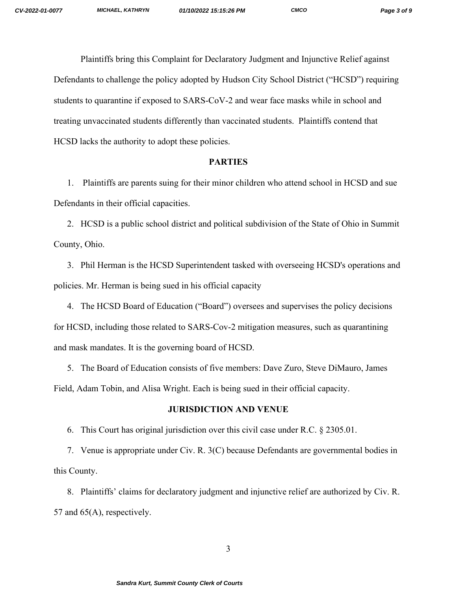Plaintiffs bring this Complaint for Declaratory Judgment and Injunctive Relief against Defendants to challenge the policy adopted by Hudson City School District ("HCSD") requiring students to quarantine if exposed to SARS-CoV-2 and wear face masks while in school and treating unvaccinated students differently than vaccinated students. Plaintiffs contend that HCSD lacks the authority to adopt these policies.

#### **PARTIES**

1. Plaintiffs are parents suing for their minor children who attend school in HCSD and sue Defendants in their official capacities.

2. HCSD is a public school district and political subdivision of the State of Ohio in Summit County, Ohio.

3. Phil Herman is the HCSD Superintendent tasked with overseeing HCSD's operations and policies. Mr. Herman is being sued in his official capacity

4. The HCSD Board of Education ("Board") oversees and supervises the policy decisions for HCSD, including those related to SARS-Cov-2 mitigation measures, such as quarantining and mask mandates. It is the governing board of HCSD.

5. The Board of Education consists of five members: Dave Zuro, Steve DiMauro, James Field, Adam Tobin, and Alisa Wright. Each is being sued in their official capacity.

## **JURISDICTION AND VENUE**

6. This Court has original jurisdiction over this civil case under R.C. § 2305.01.

7. Venue is appropriate under Civ. R. 3(C) because Defendants are governmental bodies in this County.

8. Plaintiffs' claims for declaratory judgment and injunctive relief are authorized by Civ. R. 57 and 65(A), respectively.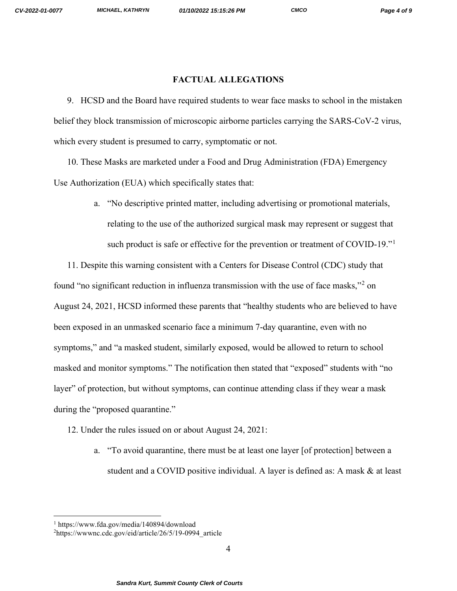### **FACTUAL ALLEGATIONS**

9. HCSD and the Board have required students to wear face masks to school in the mistaken belief they block transmission of microscopic airborne particles carrying the SARS-CoV-2 virus, which every student is presumed to carry, symptomatic or not.

10. These Masks are marketed under a Food and Drug Administration (FDA) Emergency Use Authorization (EUA) which specifically states that:

> a. "No descriptive printed matter, including advertising or promotional materials, relating to the use of the authorized surgical mask may represent or suggest that such product is safe or effective for the prevention or treatment of COVID-[1](#page-3-0)9."

11. Despite this warning consistent with a Centers for Disease Control (CDC) study that found "no significant reduction in influenza transmission with the use of face masks,"[2](#page-3-1) on August 24, 2021, HCSD informed these parents that "healthy students who are believed to have been exposed in an unmasked scenario face a minimum 7-day quarantine, even with no symptoms," and "a masked student, similarly exposed, would be allowed to return to school masked and monitor symptoms." The notification then stated that "exposed" students with "no layer" of protection, but without symptoms, can continue attending class if they wear a mask during the "proposed quarantine."

- 12. Under the rules issued on or about August 24, 2021:
	- a. "To avoid quarantine, there must be at least one layer [of protection] between a student and a COVID positive individual. A layer is defined as: A mask & at least

<span id="page-3-0"></span><sup>1</sup> https://www.fda.gov/media/140894/download

<span id="page-3-1"></span><sup>2</sup> https://wwwnc.cdc.gov/eid/article/26/5/19-0994\_article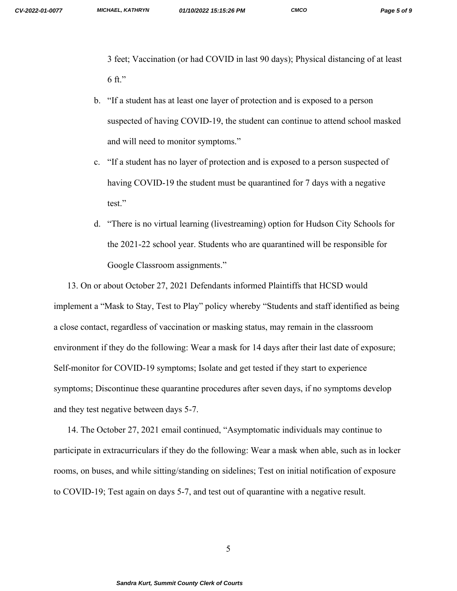3 feet; Vaccination (or had COVID in last 90 days); Physical distancing of at least 6 ft."

- b. "If a student has at least one layer of protection and is exposed to a person suspected of having COVID-19, the student can continue to attend school masked and will need to monitor symptoms."
- c. "If a student has no layer of protection and is exposed to a person suspected of having COVID-19 the student must be quarantined for 7 days with a negative test."
- d. "There is no virtual learning (livestreaming) option for Hudson City Schools for the 2021-22 school year. Students who are quarantined will be responsible for Google Classroom assignments."

13. On or about October 27, 2021 Defendants informed Plaintiffs that HCSD would implement a "Mask to Stay, Test to Play" policy whereby "Students and staff identified as being a close contact, regardless of vaccination or masking status, may remain in the classroom environment if they do the following: Wear a mask for 14 days after their last date of exposure; Self-monitor for COVID-19 symptoms; Isolate and get tested if they start to experience symptoms; Discontinue these quarantine procedures after seven days, if no symptoms develop and they test negative between days 5-7.

14. The October 27, 2021 email continued, "Asymptomatic individuals may continue to participate in extracurriculars if they do the following: Wear a mask when able, such as in locker rooms, on buses, and while sitting/standing on sidelines; Test on initial notification of exposure to COVID-19; Test again on days 5-7, and test out of quarantine with a negative result.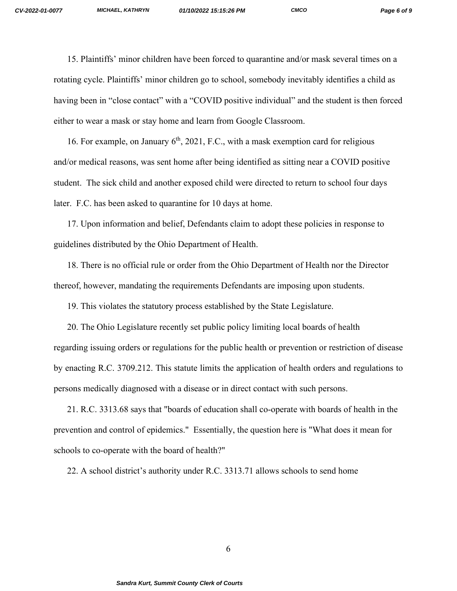15. Plaintiffs' minor children have been forced to quarantine and/or mask several times on a rotating cycle. Plaintiffs' minor children go to school, somebody inevitably identifies a child as having been in "close contact" with a "COVID positive individual" and the student is then forced either to wear a mask or stay home and learn from Google Classroom.

16. For example, on January  $6<sup>th</sup>$ , 2021, F.C., with a mask exemption card for religious and/or medical reasons, was sent home after being identified as sitting near a COVID positive student. The sick child and another exposed child were directed to return to school four days later. F.C. has been asked to quarantine for 10 days at home.

17. Upon information and belief, Defendants claim to adopt these policies in response to guidelines distributed by the Ohio Department of Health.

18. There is no official rule or order from the Ohio Department of Health nor the Director thereof, however, mandating the requirements Defendants are imposing upon students.

19. This violates the statutory process established by the State Legislature.

20. The Ohio Legislature recently set public policy limiting local boards of health regarding issuing orders or regulations for the public health or prevention or restriction of disease by enacting R.C. 3709.212. This statute limits the application of health orders and regulations to persons medically diagnosed with a disease or in direct contact with such persons.

21. R.C. 3313.68 says that "boards of education shall co-operate with boards of health in the prevention and control of epidemics." Essentially, the question here is "What does it mean for schools to co-operate with the board of health?"

22. A school district's authority under R.C. 3313.71 allows schools to send home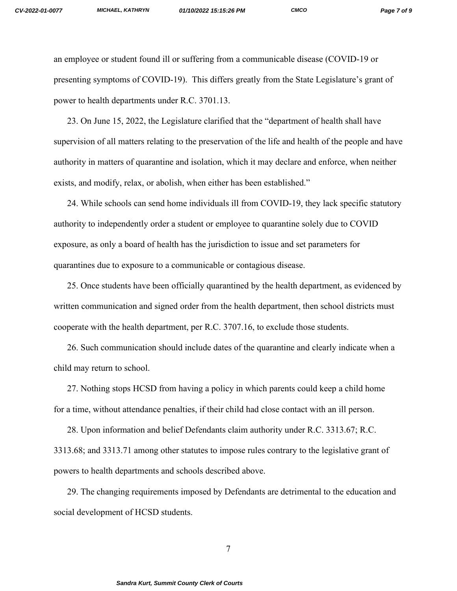an employee or student found ill or suffering from a communicable disease (COVID-19 or presenting symptoms of COVID-19). This differs greatly from the State Legislature's grant of power to health departments under R.C. 3701.13.

23. On June 15, 2022, the Legislature clarified that the "department of health shall have supervision of all matters relating to the preservation of the life and health of the people and have authority in matters of quarantine and isolation, which it may declare and enforce, when neither exists, and modify, relax, or abolish, when either has been established."

24. While schools can send home individuals ill from COVID-19, they lack specific statutory authority to independently order a student or employee to quarantine solely due to COVID exposure, as only a board of health has the jurisdiction to issue and set parameters for quarantines due to exposure to a communicable or contagious disease.

25. Once students have been officially quarantined by the health department, as evidenced by written communication and signed order from the health department, then school districts must cooperate with the health department, per R.C. 3707.16, to exclude those students.

26. Such communication should include dates of the quarantine and clearly indicate when a child may return to school.

27. Nothing stops HCSD from having a policy in which parents could keep a child home for a time, without attendance penalties, if their child had close contact with an ill person.

28. Upon information and belief Defendants claim authority under R.C. 3313.67; R.C. 3313.68; and 3313.71 among other statutes to impose rules contrary to the legislative grant of powers to health departments and schools described above.

29. The changing requirements imposed by Defendants are detrimental to the education and social development of HCSD students.

7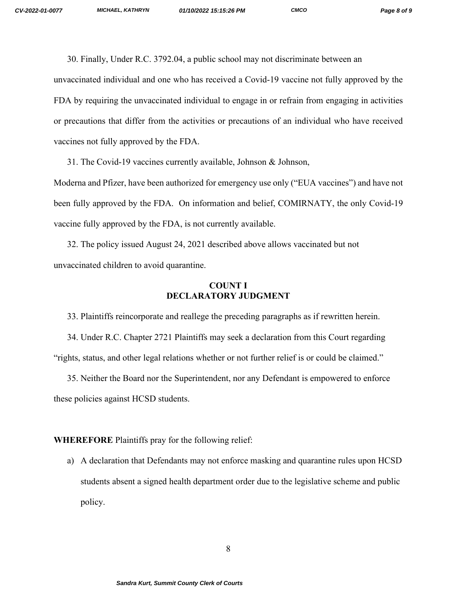30. Finally, Under R.C. 3792.04, a public school may not discriminate between an

unvaccinated individual and one who has received a Covid-19 vaccine not fully approved by the FDA by requiring the unvaccinated individual to engage in or refrain from engaging in activities or precautions that differ from the activities or precautions of an individual who have received vaccines not fully approved by the FDA.

31. The Covid-19 vaccines currently available, Johnson & Johnson,

Moderna and Pfizer, have been authorized for emergency use only ("EUA vaccines") and have not been fully approved by the FDA. On information and belief, COMIRNATY, the only Covid-19 vaccine fully approved by the FDA, is not currently available.

32. The policy issued August 24, 2021 described above allows vaccinated but not unvaccinated children to avoid quarantine.

## **COUNT I DECLARATORY JUDGMENT**

33. Plaintiffs reincorporate and reallege the preceding paragraphs as if rewritten herein.

34. Under R.C. Chapter 2721 Plaintiffs may seek a declaration from this Court regarding "rights, status, and other legal relations whether or not further relief is or could be claimed."

35. Neither the Board nor the Superintendent, nor any Defendant is empowered to enforce these policies against HCSD students.

### **WHEREFORE** Plaintiffs pray for the following relief:

a) A declaration that Defendants may not enforce masking and quarantine rules upon HCSD students absent a signed health department order due to the legislative scheme and public policy.